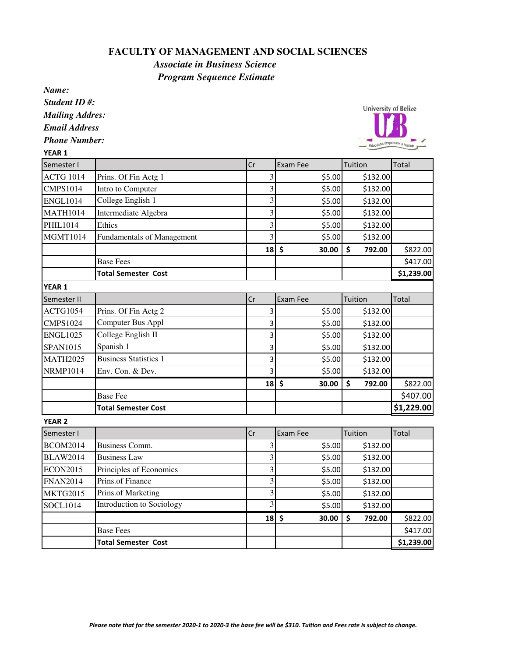## **FACULTY OF MANAGEMENT AND SOCIAL SCIENCES**

*Associate in Business Science Program Sequence Estimate*

*Name:*

*Student ID #:*

*Mailing Addres:*

*Email Address*

*Phone Number:*  $\sqrt{2}$ 

University of Belize

| YLAK 1           |                                   |    |                         |        |              |            |
|------------------|-----------------------------------|----|-------------------------|--------|--------------|------------|
| Semester I       |                                   | Cr | Exam Fee                |        | Tuition      | Total      |
| <b>ACTG 1014</b> | Prins. Of Fin Actg 1              |    | 3                       | \$5.00 | \$132.00     |            |
| <b>CMPS1014</b>  | Intro to Computer                 |    | 3                       | \$5.00 | \$132.00     |            |
| <b>ENGL1014</b>  | College English 1                 |    | 3                       | \$5.00 | \$132.00     |            |
| <b>MATH1014</b>  | Intermediate Algebra              |    | 3                       | \$5.00 | \$132.00     |            |
| PHIL1014         | Ethics                            |    | 3                       | \$5.00 | \$132.00     |            |
| <b>MGMT1014</b>  | <b>Fundamentals of Management</b> |    | 3                       | \$5.00 | \$132.00     |            |
|                  |                                   | 18 | \$                      | 30.00  | \$<br>792.00 | \$822.00   |
|                  | <b>Base Fees</b>                  |    |                         |        |              | \$417.00   |
|                  | <b>Total Semester Cost</b>        |    |                         |        |              | \$1,239.00 |
| <b>YEAR 1</b>    |                                   |    |                         |        |              |            |
| Semester II      |                                   | Cr | Exam Fee                |        | Tuition      | Total      |
| ACTG1054         | Prins. Of Fin Actg 2              |    | 3                       | \$5.00 | \$132.00     |            |
| <b>CMPS1024</b>  | Computer Bus Appl                 |    | 3                       | \$5.00 | \$132.00     |            |
| <b>ENGL1025</b>  | College English II                |    | 3                       | \$5.00 | \$132.00     |            |
| SPAN1015         | Spanish 1                         |    | 3                       | \$5.00 | \$132.00     |            |
| <b>MATH2025</b>  | <b>Business Statistics 1</b>      |    | 3                       | \$5.00 | \$132.00     |            |
| <b>NRMP1014</b>  | Env. Con. & Dev.                  |    | 3                       | \$5.00 | \$132.00     |            |
|                  |                                   | 18 | $\ddot{\bm{\zeta}}$     | 30.00  | \$<br>792.00 | \$822.00   |
|                  | <b>Base Fee</b>                   |    |                         |        |              | \$407.00   |
|                  | <b>Total Semester Cost</b>        |    |                         |        |              | \$1,229.00 |
| <b>YEAR 2</b>    |                                   |    |                         |        |              |            |
| Semester I       |                                   | Cr | <b>Exam Fee</b>         |        | Tuition      | Total      |
| <b>BCOM2014</b>  | <b>Business Comm.</b>             |    | 3                       | \$5.00 | \$132.00     |            |
| <b>BLAW2014</b>  | <b>Business Law</b>               |    | 3                       | \$5.00 | \$132.00     |            |
| <b>ECON2015</b>  | Principles of Economics           |    | 3                       | \$5.00 | \$132.00     |            |
| <b>FNAN2014</b>  | Prins.of Finance                  |    | 3                       | \$5.00 | \$132.00     |            |
| <b>MKTG2015</b>  | Prins.of Marketing                |    | 3                       | \$5.00 | \$132.00     |            |
| <b>SOCL1014</b>  | <b>Introduction to Sociology</b>  |    | $\overline{\mathbf{3}}$ | \$5.00 | \$132.00     |            |

Base Fees  $\lesssim$  5417.00 Total Semester Cost  $\begin{vmatrix} 1 & 1 \\ 1 & 1 \end{vmatrix}$  (31,239.00

 $18$  \$ 30.00 \$ 792.00 \$822.00